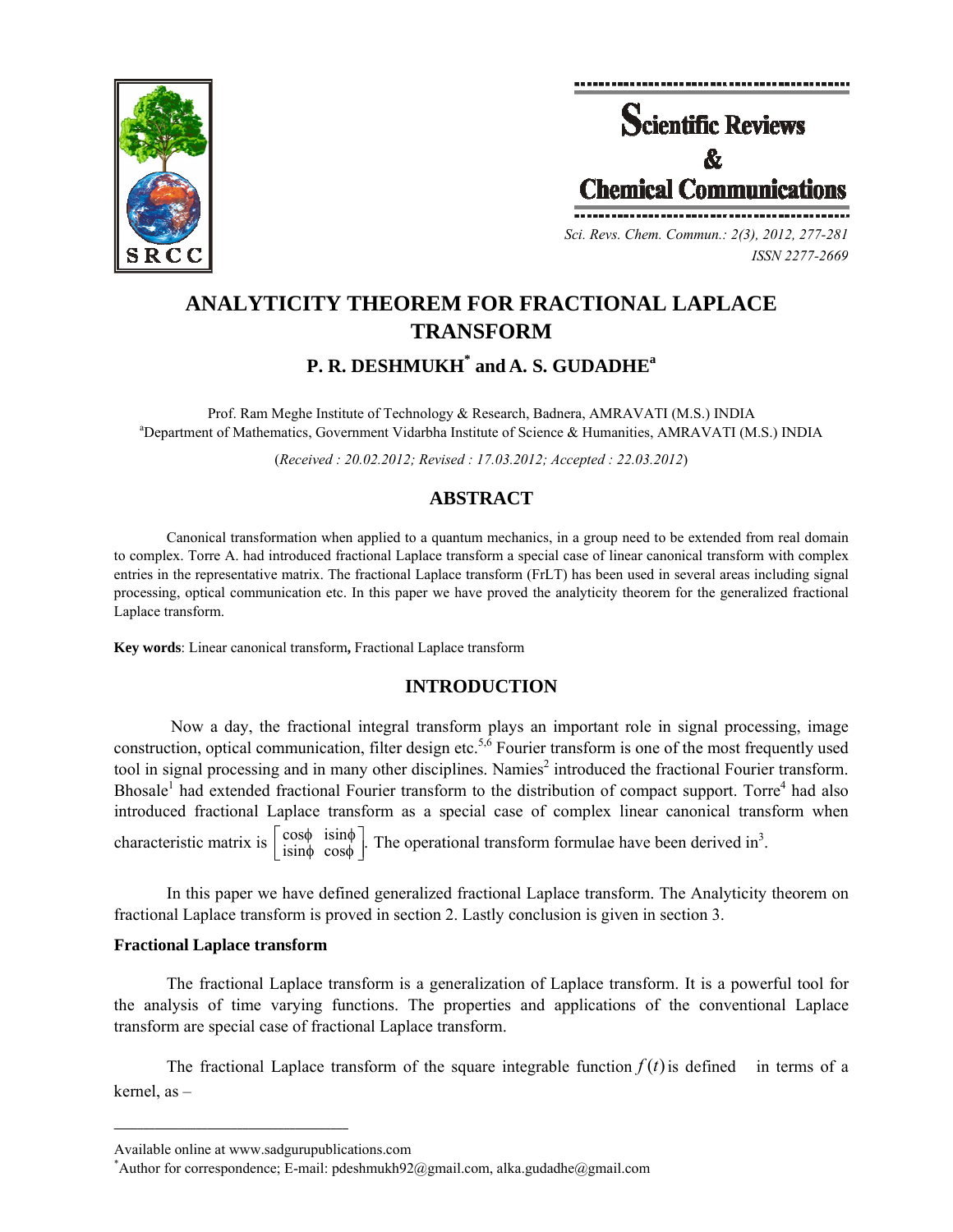



*Sci. Revs. Chem. Commun.: 2(3), 2012, 277-281 ISSN 2277-2669* 

# **ANALYTICITY THEOREM FOR FRACTIONAL LAPLACE TRANSFORM**

**P. R. DESHMUKH\* and A. S. GUDADHEa**

Prof. Ram Meghe Institute of Technology & Research, Badnera, AMRAVATI (M.S.) INDIA a Department of Mathematics, Government Vidarbha Institute of Science & Humanities, AMRAVATI (M.S.) INDIA

(*Received : 20.02.2012; Revised : 17.03.2012; Accepted : 22.03.2012*)

# **ABSTRACT**

Canonical transformation when applied to a quantum mechanics, in a group need to be extended from real domain to complex. Torre A. had introduced fractional Laplace transform a special case of linear canonical transform with complex entries in the representative matrix. The fractional Laplace transform (FrLT) has been used in several areas including signal processing, optical communication etc. In this paper we have proved the analyticity theorem for the generalized fractional Laplace transform.

**Key words**: Linear canonical transform**,** Fractional Laplace transform

# **INTRODUCTION**

Now a day, the fractional integral transform plays an important role in signal processing, image construction, optical communication, filter design etc.<sup>5,6</sup> Fourier transform is one of the most frequently used tool in signal processing and in many other disciplines. Namies<sup>2</sup> introduced the fractional Fourier transform. Bhosale<sup>1</sup> had extended fractional Fourier transform to the distribution of compact support. Torre<sup>4</sup> had also introduced fractional Laplace transform as a special case of complex linear canonical transform when characteristic matrix is  $\begin{bmatrix} \cos\phi & \sin\phi \\ \sin\phi & \cos\phi \end{bmatrix}$ . cos  $\begin{bmatrix} \cos\phi & \mathrm{isin}\phi \\ \mathrm{isin}\phi & \mathrm{cos}\phi \end{bmatrix}$ φ  $\phi$  is in  $\phi$  . The operational transform formulae have been derived in<sup>3</sup>.

In this paper we have defined generalized fractional Laplace transform. The Analyticity theorem on fractional Laplace transform is proved in section 2. Lastly conclusion is given in section 3.

## **Fractional Laplace transform**

The fractional Laplace transform is a generalization of Laplace transform. It is a powerful tool for the analysis of time varying functions. The properties and applications of the conventional Laplace transform are special case of fractional Laplace transform.

The fractional Laplace transform of the square integrable function  $f(t)$  is defined in terms of a kernel, as –

**\_\_\_\_\_\_\_\_\_\_\_\_\_\_\_\_\_\_\_\_\_\_\_\_\_\_\_\_\_\_\_\_\_\_\_\_\_\_\_\_**

Available online at www.sadgurupublications.com \*

<sup>\*</sup>Author for correspondence; E-mail: pdeshmukh92@gmail.com, alka.gudadhe@gmail.com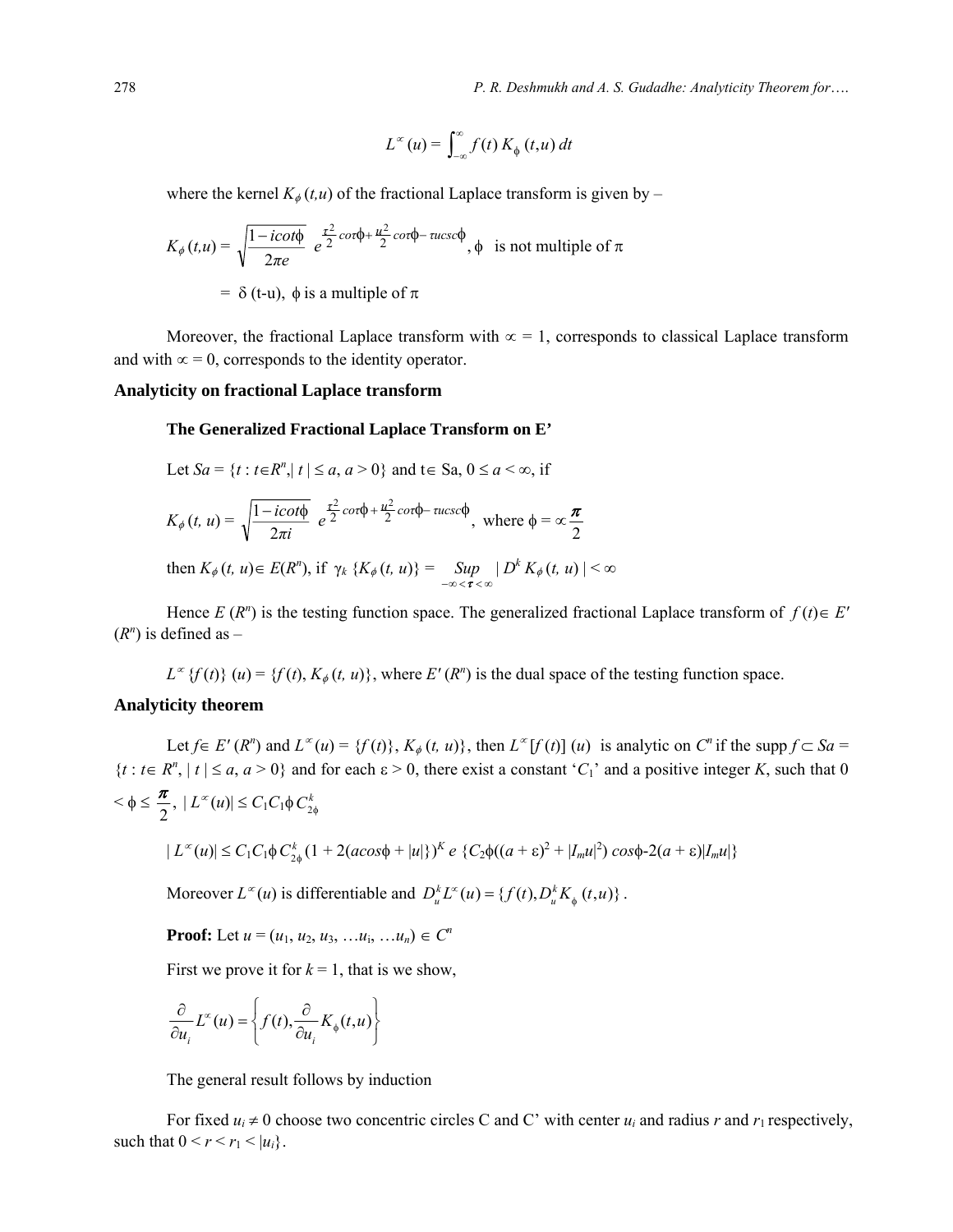278 *P. R. Deshmukh and A. S. Gudadhe: Analyticity Theorem for*….

$$
L^{\infty}(u) = \int_{-\infty}^{\infty} f(t) K_{\phi}(t, u) dt
$$

where the kernel  $K_{\phi}(t, u)$  of the fractional Laplace transform is given by –

$$
K_{\phi}(t, u) = \sqrt{\frac{1 - i\cot\phi}{2\pi e}} e^{\frac{\tau^2}{2}\cot\phi + \frac{u^2}{2}\cot\phi - \arccos\phi}, \phi \text{ is not multiple of } \pi
$$
  
=  $\delta$  (t-u),  $\phi$  is a multiple of  $\pi$ 

Moreover, the fractional Laplace transform with  $\infty = 1$ , corresponds to classical Laplace transform and with  $\infty = 0$ , corresponds to the identity operator.

#### **Analyticity on fractional Laplace transform**

#### **The Generalized Fractional Laplace Transform on E'**

Let 
$$
Sa = \{t : t \in R^n, |t| \le a, a > 0\}
$$
 and  $t \in Sa, 0 \le a < \infty$ , if

$$
K_{\phi}(t, u) = \sqrt{\frac{1 - i\cot\phi}{2\pi i}} e^{\frac{\tau^2}{2}\cot\phi + \frac{u^2}{2}\cot\phi - \text{rucsc}\phi}, \text{ where } \phi = \infty \frac{\pi}{2}
$$
  
then  $K_{\phi}(t, u) \in E(R^n)$ , if  $\gamma_k \{K_{\phi}(t, u)\} = \sup_{-\infty < \tau < \infty} |D^k K_{\phi}(t, u)| < \infty$ 

Hence  $E(R^n)$  is the testing function space. The generalized fractional Laplace transform of  $f(t) \in E'$  $(R^n)$  is defined as –

 $L^{\infty}$  {*f(t)*} (*u)* = {*f(t)*,  $K_{\phi}(t, u)$ }, where *E'* (*R*<sup>*n*</sup>) is the dual space of the testing function space.

## **Analyticity theorem**

Let  $f \in E'(R^n)$  and  $L^{\infty}(u) = \{f(t)\}\,$ ,  $K_{\phi}(t, u)\}$ , then  $L^{\infty}[f(t)](u)$  is analytic on  $C^n$  if the supp  $f \subset Sa =$  $\{t : t \in R^n, |t| \le a, a > 0\}$  and for each  $\varepsilon > 0$ , there exist a constant '*C*<sub>1</sub>' and a positive integer *K*, such that 0  $<\phi \leq \frac{\pi}{2},$  $\frac{\pi}{2}$ ,  $|L^{\infty}(u)| \leq C_1 C_1 \phi C_{2\phi}^k$ 

$$
|L^{\infty}(u)| \leq C_1 C_1 \phi C_{2\phi}^k (1 + 2(a\cos\phi + |u|))^{K} e \left\{ C_2 \phi((a+\varepsilon)^2 + |I_m u|^2) \cos\phi - 2(a+\varepsilon)|I_m u|\right\}
$$

Moreover  $L^{\infty}(u)$  is differentiable and  $D_u^k L^{\infty}(u) = \{f(t), D_u^k K_{\phi}(t, u)\}$ .

**Proof:** Let  $u = (u_1, u_2, u_3, \ldots, u_i, \ldots, u_n) \in C^n$ 

First we prove it for  $k = 1$ , that is we show,

$$
\frac{\partial}{\partial u_i} L^{\infty}(u) = \left\{ f(t), \frac{\partial}{\partial u_i} K_{\phi}(t, u) \right\}
$$

The general result follows by induction

For fixed  $u_i \neq 0$  choose two concentric circles C and C' with center  $u_i$  and radius *r* and  $r_1$  respectively, such that  $0 < r < r_1 < |u_i|$ .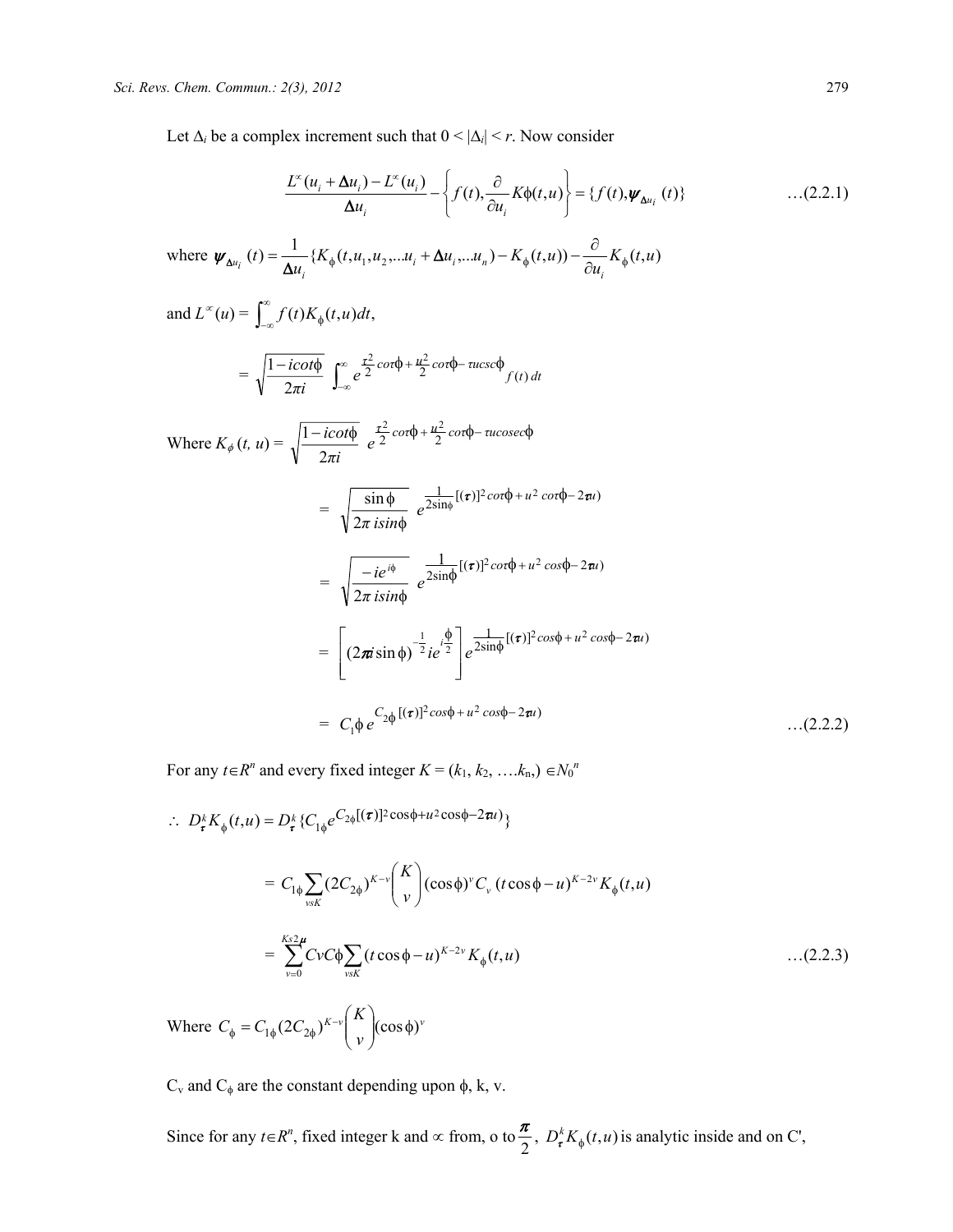Let  $\Delta_i$  be a complex increment such that  $0 < |\Delta_i| < r$ . Now consider

$$
\frac{L^{\infty}(u_i + \Delta u_i) - L^{\infty}(u_i)}{\Delta u_i} - \left\{ f(t), \frac{\partial}{\partial u_i} K\phi(t, u) \right\} = \left\{ f(t), \psi_{\Delta u_i}(t) \right\} \tag{2.2.1}
$$

where 
$$
\psi_{\Delta u_i}(t) = \frac{1}{\Delta u_i} \{ K_{\phi}(t, u_1, u_2, \dots u_i + \Delta u_i, \dots u_n) - K_{\phi}(t, u) \} - \frac{\partial}{\partial u_i} K_{\phi}(t, u)
$$

and 
$$
L^{\infty}(u) = \int_{-\infty}^{\infty} f(t)K_{\phi}(t, u)dt
$$
,  
\n
$$
= \sqrt{\frac{1 - i\cot\phi}{2\pi i}} \int_{-\infty}^{\infty} e^{\frac{\tau^2}{2}\cot\phi + \frac{u^2}{2}\cot\phi - i\mu\csc\phi} f(t) dt
$$

Where 
$$
K_{\phi}(t, u) = \sqrt{\frac{1 - i \cot \phi}{2\pi i}} e^{\frac{\tau^2}{2} \cot \phi + \frac{u^2}{2} \cot \phi - u \csc \phi}
$$

$$
= \sqrt{\frac{\sin \phi}{2\pi i \sin \phi}} e^{\frac{1}{2\sin \phi} [(\tau)]^2 \cos \phi + u^2 \cot \phi - 2\pi i}
$$

$$
= \sqrt{\frac{-ie^{i\phi}}{2\pi \, i\sin\phi}} e^{\frac{1}{2\sin\phi}[(\tau)]^2 \cos\phi + u^2 \cos\phi - 2\pi i}
$$
  

$$
= \left[ (2\pi i \sin\phi)^{-\frac{1}{2}} i e^{i\frac{\phi}{2}} \right] e^{\frac{1}{2\sin\phi}[(\tau)]^2 \cos\phi + u^2 \cos\phi - 2\pi i}
$$
  

$$
= C_1 \phi e^{C_2 \phi [(\tau)]^2 \cos\phi + u^2 \cos\phi - 2\pi i}
$$
...(2.2.2)

For any  $t \in R^n$  and every fixed integer  $K = (k_1, k_2, \ldots, k_n) \in N_0^n$ 

$$
\therefore D_{\tau}^{k} K_{\phi}(t, u) = D_{\tau}^{k} \{ C_{1\phi} e^{C_{2\phi}[(\tau)]^{2} \cos \phi + u^{2} \cos \phi - 2\pi u} \}
$$
\n
$$
= C_{1\phi} \sum_{v \leq K} (2C_{2\phi})^{K-v} {K \choose v} (\cos \phi)^{v} C_{v} (t \cos \phi - u)^{K-2v} K_{\phi}(t, u)
$$
\n
$$
= \sum_{v=0}^{K_{2}2\mu} C_{V} C_{\phi} \sum_{v \leq K} (t \cos \phi - u)^{K-2v} K_{\phi}(t, u) \qquad ...(2.2.3)
$$

Where  $C_{\phi} = C_{1\phi} (2C_{2\phi})^{K-\nu}$   $\int_{0}^{K} |(\cos \phi)^{\nu}|^{2}$ *v*  $C_{\phi} = C_{1\phi} (2C_{2\phi})^{K-\nu} \binom{K}{\nu} (\cos \phi)$ ⎠ ⎞  $\overline{\phantom{a}}$ ⎝  $C_{1\phi} = C_{1\phi} (2C_{2\phi})^{K-v}$ 

 $C<sub>v</sub>$  and  $C<sub>φ</sub>$  are the constant depending upon  $φ$ , k, v.

Since for any  $t \in R^n$ , fixed integer k and  $\infty$  from, o to  $\frac{\pi}{2}$ ,  $D^k_{\tau} K_{\phi}(t, u)$  is analytic inside and on C',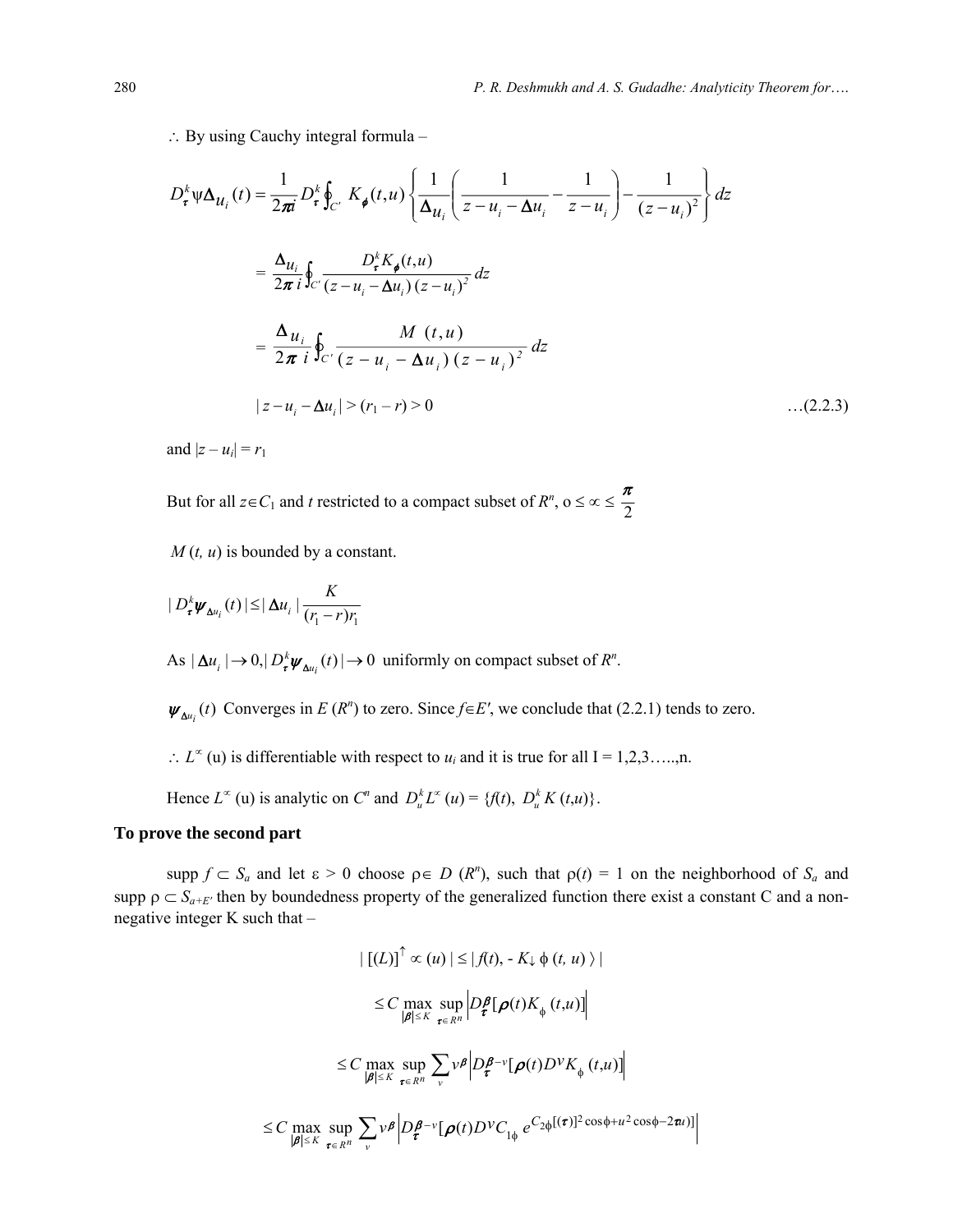∴ By using Cauchy integral formula –

$$
D_{\tau}^{k} \psi \Delta_{\mathcal{U}_{i}}(t) = \frac{1}{2\pi i} D_{\tau}^{k} \oint_{C'} K_{\phi}(t, u) \left\{ \frac{1}{\Delta_{\mathcal{U}_{i}}} \left( \frac{1}{z - u_{i} - \Delta u_{i}} - \frac{1}{z - u_{i}} \right) - \frac{1}{(z - u_{i})^{2}} \right\} dz
$$
  

$$
= \frac{\Delta_{\mathcal{U}_{i}}}{2\pi i} \oint_{C'} \frac{D_{\tau}^{k} K_{\phi}(t, u)}{(z - u_{i} - \Delta u_{i})(z - u_{i})^{2}} dz
$$
  

$$
= \frac{\Delta_{\mathcal{U}_{i}}}{2\pi i} \oint_{C'} \frac{M(t, u)}{(z - u_{i} - \Delta u_{i})(z - u_{i})^{2}} dz
$$
  

$$
|z - u_{i} - \Delta u_{i}| > (r_{1} - r) > 0 \qquad ...(2.2.3)
$$

and  $|z - u_i| = r_1$ 

But for all  $z \in C_1$  and *t* restricted to a compact subset of  $R^n$ ,  $0 \le \infty \le \frac{\pi}{2}$ 

*M* (*t, u*) is bounded by a constant.

$$
|D_{\tau}^{k} \psi_{\Delta u_i}(t)| \leq |\Delta u_i| \frac{K}{(r_1 - r)r_1}
$$

As  $|\Delta u_i| \to 0$ ,  $|D^k_{\tau} \psi_{\Delta u_i}(t)| \to 0$  uniformly on compact subset of  $R^n$ .

 $\psi_{\Delta u_i}(t)$  Converges in *E* (*R*<sup>n</sup>) to zero. Since *f*∈*E'*, we conclude that (2.2.1) tends to zero.

 $\therefore$  *L*<sup>∞</sup> (u) is differentiable with respect to *u<sub>i</sub>* and it is true for all I = 1,2,3…..,n.

Hence  $L^{\infty}$  (u) is analytic on  $C^n$  and  $D_u^k L^{\infty}$  (*u*) = { $f(t)$ ,  $D_u^k K(t, u)$ }.

### **To prove the second part**

 $\sup p f \subset S_a$  and let  $\varepsilon > 0$  choose  $p \in D(R^n)$ , such that  $p(t) = 1$  on the neighborhood of  $S_a$  and supp  $\rho \subset S_{a+E'}$  then by boundedness property of the generalized function there exist a constant C and a nonnegative integer K such that –

$$
\left| \left[ (L) \right]^{T} \propto (u) \left| \leq \left| f(t) \right| - K_{\downarrow} \phi(t, u) \right| \right|
$$
  
\n
$$
\leq C \max_{|\pmb{\beta}| \leq K} \sup_{\pmb{\tau} \in R^{n}} \left| D_{\pmb{\tau}}^{\pmb{\beta}} [\pmb{\rho}(t) K_{\phi}(t, u)] \right|
$$
  
\n
$$
\leq C \max_{|\pmb{\beta}| \leq K} \sup_{\pmb{\tau} \in R^{n}} \sum_{v} v^{\pmb{\beta}} \left| D_{\pmb{\tau}}^{\pmb{\beta} - v} [\pmb{\rho}(t) D^{V} K_{\phi}(t, u)] \right|
$$
  
\n
$$
\leq C \max_{|\pmb{\beta}| \leq K} \sup_{\pmb{\tau} \in R^{n}} \sum_{v} v^{\pmb{\beta}} \left| D_{\pmb{\tau}}^{\pmb{\beta} - v} [\pmb{\rho}(t) D^{V} C_{1\phi} e^{C_{2\phi}[(\pmb{\tau})]^{2} \cos \phi + u^{2} \cos \phi - 2\pi u]} \right|
$$